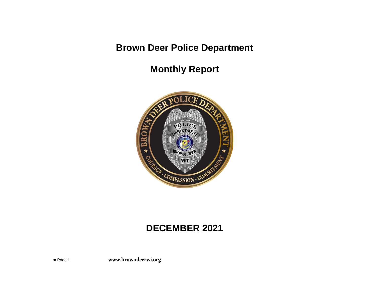# **Brown Deer Police Department**

**Monthly Report**



## **DECEMBER 2021**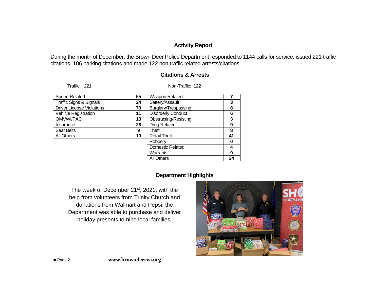## **Activity Report**

During the month of December, the Brown Deer Police Department responded to 1144 calls for service, issued 221 traffic citations, 106 parking citations and made 122 non-traffic related arrests/citations.

| <b>Speed Related</b>               | 55 | Weapon Related               |    |
|------------------------------------|----|------------------------------|----|
| <b>Traffic Signs &amp; Signals</b> | 24 | Battery/Assault              | 3  |
| <b>Driver License Violations</b>   | 73 | Burglary/Trespassing         | 8  |
| Vehicle Registration               | 11 | <b>Disorderly Conduct</b>    | 6  |
| OMVWI/PAC                          | 13 | <b>Obstructing/Resisting</b> | 3  |
| Insurance                          | 26 | Drug Related                 | 9  |
| <b>Seat Belts</b>                  | 9  | Theft                        | 8  |
| <b>All Others</b>                  | 10 | <b>Retail Theft</b>          | 41 |
|                                    |    | Robbery                      | O  |
|                                    |    | <b>Domestic Related</b>      | 4  |
|                                    |    | Warrants                     | 9  |
|                                    |    | All Others                   | 24 |

Traffic: 221 Non-Traffic: **122**

#### **Citations & Arrests**

### **Department Highlights**

The week of December 21<sup>st</sup>, 2021, with the help from volunteers from Trinity Church and donations from Walmart and Pepsi, the Department was able to purchase and deliver holiday presents to nine local families.

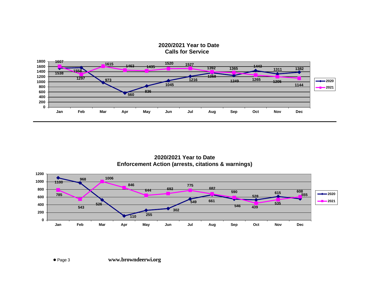**2020/2021 Year to Date Calls for Service**



**2020/2021 Year to Date Enforcement Action (arrests, citations & warnings)**

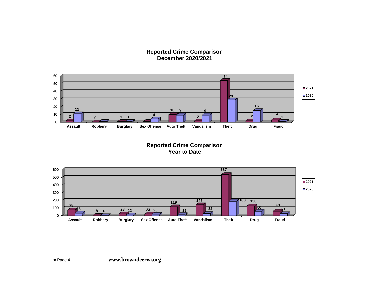#### **Reported Crime Comparison December 2020/2021**



**Reported Crime Comparison Year to Date**

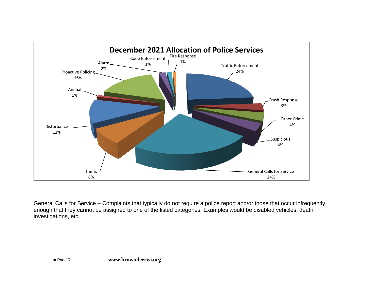

General Calls for Service – Complaints that typically do not require a police report and/or those that occur infrequently enough that they cannot be assigned to one of the listed categories. Examples would be disabled vehicles, death investigations, etc.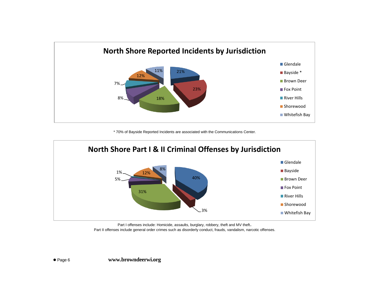

\* 70% of Bayside Reported Incidents are associated with the Communications Center.



Part I offenses include: Homicide, assaults, burglary, robbery, theft and MV theft. Part II offenses include general order crimes such as disorderly conduct, frauds, vandalism, narcotic offenses.